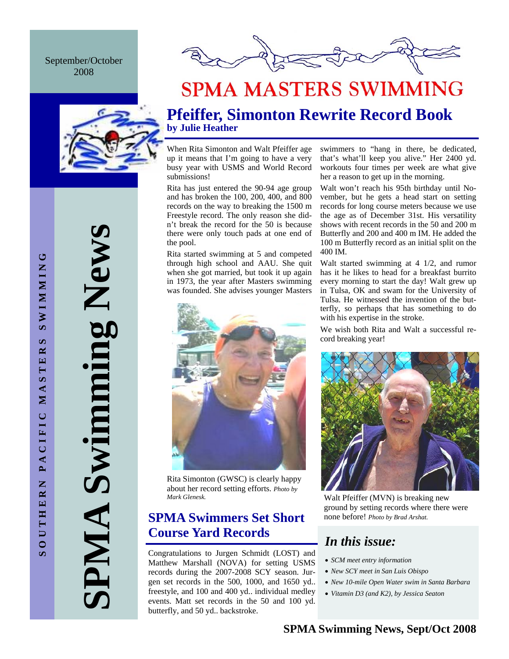September/October 2008





# **SPMA MASTERS SWIMMING**

# **Pfeiffer, Simonton Rewrite Record Book by Julie Heather**

When Rita Simonton and Walt Pfeiffer age up it means that I'm going to have a very busy year with USMS and World Record submissions!

Rita has just entered the 90-94 age group and has broken the 100, 200, 400, and 800 records on the way to breaking the 1500 m Freestyle record. The only reason she didn't break the record for the 50 is because there were only touch pads at one end of the pool.

Rita started swimming at 5 and competed through high school and AAU. She quit when she got married, but took it up again in 1973, the year after Masters swimming was founded. She advises younger Masters



Rita Simonton (GWSC) is clearly happy about her record setting efforts. *Photo by* 

# **SPMA Swimmers Set Short Course Yard Records** *In this issue:*

Congratulations to Jurgen Schmidt (LOST) and Matthew Marshall (NOVA) for setting USMS records during the 2007-2008 SCY season. Jurgen set records in the 500, 1000, and 1650 yd.. freestyle, and 100 and 400 yd.. individual medley events. Matt set records in the 50 and 100 yd. butterfly, and 50 yd.. backstroke.

swimmers to "hang in there, be dedicated, that's what'll keep you alive." Her 2400 yd. workouts four times per week are what give her a reason to get up in the morning.

Walt won't reach his 95th birthday until November, but he gets a head start on setting records for long course meters because we use the age as of December 31st. His versatility shows with recent records in the 50 and 200 m Butterfly and 200 and 400 m IM. He added the 100 m Butterfly record as an initial split on the 400 IM.

Walt started swimming at 4 1/2, and rumor has it he likes to head for a breakfast burrito every morning to start the day! Walt grew up in Tulsa, OK and swam for the University of Tulsa. He witnessed the invention of the butterfly, so perhaps that has something to do with his expertise in the stroke.

We wish both Rita and Walt a successful record breaking year!



Walt Pfeiffer (MVN) is breaking new ground by setting records where there were none before! *Photo by Brad Arshat.* 

- *SCM meet entry information*
- *New SCY meet in San Luis Obispo*
- *New 10-mile Open Water swim in Santa Barbara*
- *Vitamin D3 (and K2), by Jessica Seaton*

**SPMA Swimming News SPMA Swimming News**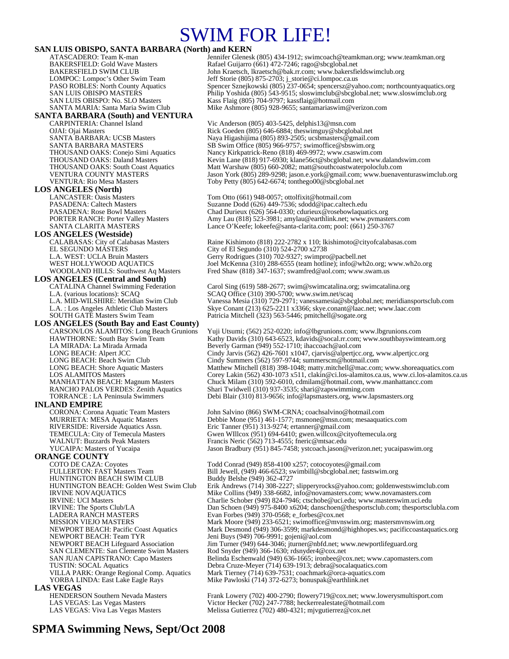# SWIM FOR LIFE!

#### **SAN LUIS OBISPO, SANTA BARBARA (North) and KERN**

| SAN LUIS OBISPO, SANTA BARBARA (North) and KERN                                   |                                                                                                                                                                            |
|-----------------------------------------------------------------------------------|----------------------------------------------------------------------------------------------------------------------------------------------------------------------------|
| ATASCADERO: Team K-man                                                            | Jennifer Glenesk (805) 434-1912; swimcoach@teamkman.org; www.teamkman.org                                                                                                  |
| <b>BAKERSFIELD: Gold Wave Masters</b><br><b>BAKERSFIELD SWIM CLUB</b>             | Rafael Guijarro (661) 472-7246; rago@sbcglobal.net<br>John Kraetsch, lkraetsch@bak.rr.com; www.bakersfieldswimclub.org                                                     |
| LOMPOC: Lompoc's Other Swim Team                                                  | Jeff Storie (805) 875-2703; j_storie@ci.lompoc.ca.us                                                                                                                       |
| <b>PASO ROBLES:</b> North County Aquatics                                         | Spencer Sznejkowski (805) 237-0654; spencersz@yahoo.com; northcountyaquatics.org                                                                                           |
| SAN LUIS OBISPO MASTERS                                                           | Philip Yoshida (805) 543-9515; sloswimclub@sbcglobal.net; www.sloswimclub.org                                                                                              |
| SAN LUIS OBISPO: No. SLO Masters                                                  | Kass Flaig (805) 704-9797; kassflaig@hotmail.com                                                                                                                           |
| SANTA MARIA: Santa Maria Swim Club                                                | Mike Ashmore $(805)$ 928-9655; santamariaswim@verizon.com                                                                                                                  |
| <b>SANTA BARBARA (South) and VENTURA</b>                                          |                                                                                                                                                                            |
| CARPINTERIA: Channel Island                                                       | Vic Anderson $(805)$ 403-5425, delphis $13@$ msn.com                                                                                                                       |
| OJAI: Ojai Masters                                                                | Rick Goeden (805) 646-6884; theswimguy@sbcglobal.net                                                                                                                       |
| SANTA BARBARA: UCSB Masters                                                       | Naya Higashijima (805) 893-2505; ucsbmasters@gmail.com                                                                                                                     |
| SANTA BARBARA MASTERS<br>THOUSAND OAKS: Conejo Simi Aquatics                      | SB Swim Office (805) 966-9757; swimoffice@sbswim.org<br>Nancy Kirkpatrick-Reno (818) 469-9972; www.csaswim.com                                                             |
| THOUSAND OAKS: Daland Masters                                                     | Kevin Lane (818) 917-6930; klane56ct@sbcglobal.net; www.dalandswim.com                                                                                                     |
| THOUSAND OAKS: South Coast Aquatics                                               | Matt Warshaw (805) 660-2082; matt@southcoastwaterpoloclub.com                                                                                                              |
| <b>VENTURA COUNTY MASTERS</b>                                                     | Jason York (805) 289-9298; jason.e.york@gmail.com; www.buenaventuraswimclub.org                                                                                            |
| <b>VENTURA: Rio Mesa Masters</b>                                                  | Toby Petty (805) 642-6674; tonthego00@sbcglobal.net                                                                                                                        |
| <b>LOS ANGELES (North)</b>                                                        |                                                                                                                                                                            |
| <b>LANCASTER: Oasis Masters</b>                                                   | Tom Otto (661) 948-0057; ottolfixit@hotmail.com                                                                                                                            |
| PASADENA: Caltech Masters                                                         | Suzanne Dodd (626) 449-7536; sdodd@ipac.caltech.edu                                                                                                                        |
| <b>PASADENA: Rose Bowl Masters</b>                                                | Chad Durieux (626) 564-0330; cdurieux@rosebowlaquatics.org                                                                                                                 |
| <b>PORTER RANCH: Porter Valley Masters</b><br>SANTA CLARITA MASTERS               | Amy Lau (818) 523-3981; amylau@earthlink.net; www.pymasters.com<br>Lance O'Keefe; lokeefe@santa-clarita.com; pool: (661) 250-3767                                          |
| <b>LOS ANGELES (Westside)</b>                                                     |                                                                                                                                                                            |
| CALABASAS: City of Calabasas Masters                                              | Raine Kishimoto (818) 222-2782 x 110; lkishimoto@cityofcalabasas.com                                                                                                       |
| <b>EL SEGUNDO MASTERS</b>                                                         | City of El Segundo (310) 524-2700 x2738                                                                                                                                    |
| L.A. WEST: UCLA Bruin Masters                                                     | Gerry Rodrigues (310) 702-9327; swimpro@pacbell.net                                                                                                                        |
| WEST HOLLYWOOD AQUATICS                                                           | Joel McKenna (310) 288-6555 (team hotline); info@wh2o.org; www.wh2o.org                                                                                                    |
| WOODLAND HILLS: Southwest Aq Masters                                              | Fred Shaw (818) 347-1637; swamfred@aol.com; www.swam.us                                                                                                                    |
| <b>LOS ANGELES (Central and South)</b>                                            |                                                                                                                                                                            |
| <b>CATALINA Channel Swimming Federation</b>                                       | Carol Sing $(619)$ 588-2677; swim@swimcatalina.org; swimcatalina.org                                                                                                       |
| L.A. (various locations): SCAQ                                                    | SCAQ Office (310) 390-5700; www.swim.net/scaq                                                                                                                              |
| L.A. MID-WILSHIRE: Meridian Swim Club<br>L.A. : Los Angeles Athletic Club Masters | Vanessa Mesia (310) 729-2971; vanessamesia@sbcglobal.net; meridiansportsclub.com<br>Skye Conant (213) 625-2211 x3366; skye.conant@laac.net; www.laac.com                   |
| <b>SOUTH GATE Masters Swim Team</b>                                               | Patricia Mitchell (323) 563-5446; pmitchell@sogate.org                                                                                                                     |
| <b>LOS ANGELES (South Bay and East County)</b>                                    |                                                                                                                                                                            |
| CARSON/LOS ALAMITOS: Long Beach Grunions                                          | Yuji Utsumi; (562) 252-0220; info@lbgrunions.com; www.lbgrunions.com                                                                                                       |
| <b>HAWTHORNE: South Bay Swim Team</b>                                             | Kathy Davids (310) 643-6523, kdavids@socal.rr.com; www.southbayswimteam.org                                                                                                |
| LA MIRADA: La Mirada Armada                                                       | Beverly Garman (949) 552-1710; ihaccoach@aol.com                                                                                                                           |
| LONG BEACH: Alpert JCC                                                            | Cindy Jarvis (562) 426-7601 x1047, cjarvis@alpertjcc.org, www.alpertjcc.org                                                                                                |
| LONG BEACH: Beach Swim Club                                                       | Cindy Summers (562) 597-9744; summerscm@hotmail.com                                                                                                                        |
| LONG BEACH: Shore Aquatic Masters<br><b>LOS ALAMITOS Masters</b>                  | Matthew Mitchell (818) 398-1048; matty.mitchell@mac.com; www.shoreaquatics.com<br>Corey Lakin (562) 430-1073 x511, clakin@ci.los-alamitos.ca.us, www.ci.los-alamitos.ca.us |
| <b>MANHATTAN BEACH: Magnum Masters</b>                                            | Chuck Milam (310) 592-6010, cdmilam@hotmail.com, www.manhattancc.com                                                                                                       |
| RANCHO PALOS VERDES: Zenith Aquatics                                              | Shari Twidwell (310) 937-3535; shari@zapswimming.com                                                                                                                       |
| <b>TORRANCE</b> : LA Peninsula Swimmers                                           | Debi Blair (310) 813-9656; info@lapsmasters.org, www.lapsmasters.org                                                                                                       |
| INLAND EMPIRE                                                                     |                                                                                                                                                                            |
| <b>CORONA: Corona Aquatic Team Masters</b>                                        | John Salvino (866) SWM-CRNA; coachsalvino@hotmail.com                                                                                                                      |
| MURRIETA: MESA Aquatic Masters                                                    | Debbie Mone (951) 461-1577; msmone@msn.com; mesaaquatics.com                                                                                                               |
| RIVERSIDE: Riverside Aquatics Assn.                                               | Eric Tanner (951) 313-9274; ertanner@gmail.com                                                                                                                             |
| TEMECULA: City of Temecula Masters                                                | Gwen WIllcox (951) 694-6410; gwen.willcox@cityoftemecula.org                                                                                                               |
| <b>WALNUT: Buzzards Peak Masters</b><br>YUCAIPA: Masters of Yucaipa               | Francis Neric (562) 713-4555; fneric@mtsac.edu<br>Jason Bradbury (951) 845-7458; ystcoach.jason@verizon.net; yucaipaswim.org                                               |
| <b>ORANGE COUNTY</b>                                                              |                                                                                                                                                                            |
| COTO DE CAZA: Coyotes                                                             | Todd Conrad (949) 858-4100 x257; cotocoyotes@gmail.com                                                                                                                     |
| <b>FULLERTON: FAST Masters Team</b>                                               | Bill Jewell, (949) 466-6523; swimbill@sbcglobal.net; fastswim.org                                                                                                          |
| HUNTINGTON BEACH SWIM CLUB                                                        | Buddy Belshe (949) 362-4727                                                                                                                                                |
| <b>HUNTINGTON BEACH: Golden West Swim Club</b>                                    | Erik Andrews (714) 308-2227; slipperyrocks@yahoo.com; goldenwestswimclub.com                                                                                               |
| <b>IRVINE NOVAQUATICS</b>                                                         | Mike Collins (949) 338-6682, info@novamasters.com; www.novamasters.com                                                                                                     |
| <b>IRVINE: UCI Masters</b>                                                        | Charlie Schober (949) 824-7946; ctschobe@uci.edu; www.masterswim.uci.edu                                                                                                   |
| IRVINE: The Sports Club/LA                                                        | Dan Schoen (949) 975-8400 x6204; danschoen@thesportsclub.com; thesportsclubla.com                                                                                          |
| LADERA RANCH MASTERS<br><b>MISSION VIEJO MASTERS</b>                              | Evan Forbes (949) 370-0568; $e$ _forbes@cox.net<br>Mark Moore (949) 233-6521; swimoffice@mvnswim.org; mastersmvnswim.org                                                   |
| <b>NEWPORT BEACH: Pacific Coast Aquatics</b>                                      | Mark Desmond (949) 306-3599; markdesmond@highhopes.ws; pacificcoastaquatics.org                                                                                            |
| NEWPORT BEACH: Team TYR                                                           | Jeni Buys (949) 706-9991; gojeni@aol.com                                                                                                                                   |
| NEWPORT BEACH Lifeguard Association                                               | Jim Turner (949) 644-3046; jturner@nbfd.net; www.newportlifeguard.org                                                                                                      |
| <b>SAN CLEMENTE: San Clemente Swim Masters</b>                                    | Rod Snyder (949) 366-1630; rdsnyder4@cox.net                                                                                                                               |
| SAN JUAN CAPISTRANO: Capo Masters                                                 | Belinda Eschenwald (949) 636-1665; ironbee@cox.net; www.capomasters.com                                                                                                    |
| TUSTIN: SOCAL Aquatics<br>VILLA PARK: Orange Regional Comp. Aquatics              | Debra Cruze-Meyer (714) 639-1913; debra@socalaquatics.com<br>Mark Tierney (714) 639-7531; coachmark@orca-aquatics.com                                                      |
| YORBA LINDA: East Lake Eagle Rays                                                 | Mike Pawloski (714) 372-6273; bonuspak@earthlink.net                                                                                                                       |
| <b>LAS VEGAS</b>                                                                  |                                                                                                                                                                            |
| <b>HENDERSON Southern Nevada Masters</b>                                          | Frank Lowery (702) 400-2790; flowery719@cox.net; www.lowerysmultisport.com                                                                                                 |
| LAS VEGAS: Las Vegas Masters                                                      | Victor Hecker (702) 247-7788; heckerrealestate@hotmail.com                                                                                                                 |
| LAS VEGAS: Viva Las Vegas Masters                                                 | Melissa Gutierrez (702) 480-4321; mjvgutierrez@cox.net                                                                                                                     |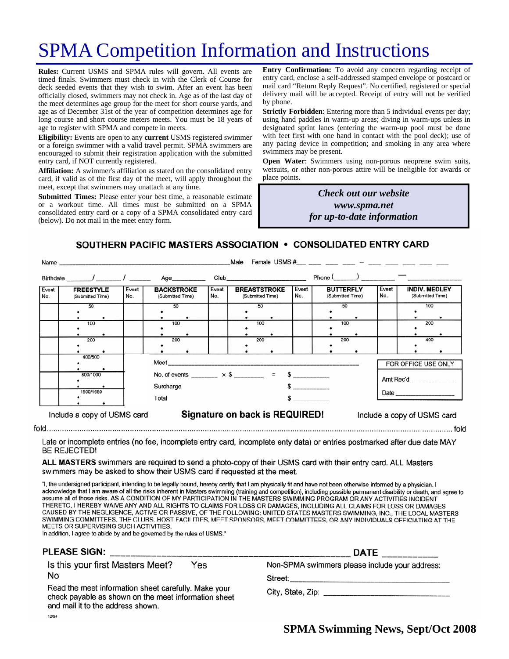# SPMA Competition Information and Instructions

**Rules:** Current USMS and SPMA rules will govern. All events are timed finals. Swimmers must check in with the Clerk of Course for deck seeded events that they wish to swim. After an event has been officially closed, swimmers may not check in. Age as of the last day of the meet determines age group for the meet for short course yards, and age as of December 31st of the year of competition determines age for long course and short course meters meets. You must be 18 years of age to register with SPMA and compete in meets.

**Eligibility:** Events are open to any **current** USMS registered swimmer or a foreign swimmer with a valid travel permit. SPMA swimmers are encouraged to submit their registration application with the submitted entry card, if NOT currently registered.

**Affiliation:** A swimmer's affiliation as stated on the consolidated entry card, if valid as of the first day of the meet, will apply throughout the meet, except that swimmers may unattach at any time.

**Submitted Times:** Please enter your best time, a reasonable estimate or a workout time. All times must be submitted on a SPMA consolidated entry card or a copy of a SPMA consolidated entry card (below). Do not mail in the meet entry form.

**Entry Confirmation:** To avoid any concern regarding receipt of entry card, enclose a self-addressed stamped envelope or postcard or mail card "Return Reply Request". No certified, registered or special delivery mail will be accepted. Receipt of entry will not be verified by phone.

**Strictly Forbidden**: Entering more than 5 individual events per day; using hand paddles in warm-up areas; diving in warm-ups unless in designated sprint lanes (entering the warm-up pool must be done with feet first with one hand in contact with the pool deck); use of any pacing device in competition; and smoking in any area where swimmers may be present.

**Open Water**: Swimmers using non-porous neoprene swim suits, wetsuits, or other non-porous attire will be ineligible for awards or place points.

> *Check out our website www.spma.net for up-to-date information*

SOUTHERN PACIFIC MASTERS ASSOCIATION • CONSOLIDATED ENTRY CARD

|              | Name                                 | Male         |                                       |                                                                       |              |                                         |                                                                                                                                                                                                                                |              |                                      |     |                             |                                          |     |  |
|--------------|--------------------------------------|--------------|---------------------------------------|-----------------------------------------------------------------------|--------------|-----------------------------------------|--------------------------------------------------------------------------------------------------------------------------------------------------------------------------------------------------------------------------------|--------------|--------------------------------------|-----|-----------------------------|------------------------------------------|-----|--|
|              |                                      |              |                                       | Age_________                                                          |              |                                         | Club and the contract of the contract of the contract of the contract of the contract of the contract of the contract of the contract of the contract of the contract of the contract of the contract of the contract of the c |              |                                      |     |                             |                                          |     |  |
| Event<br>No. | <b>FREESTYLE</b><br>(Submitted Time) | Event<br>No. | <b>BACKSTROKE</b><br>(Submitted Time) |                                                                       | Event<br>No. | <b>BREASTSTROKE</b><br>(Submitted Time) |                                                                                                                                                                                                                                | Event<br>No. | <b>BUTTERFLY</b><br>(Submitted Time) |     | Event<br>No.                | <b>INDIV. MEDLEY</b><br>(Submitted Time) |     |  |
|              | 50                                   |              | 50                                    |                                                                       |              |                                         | 50                                                                                                                                                                                                                             |              |                                      | 50  |                             |                                          | 100 |  |
|              | 100                                  |              | 100                                   |                                                                       |              |                                         | 100                                                                                                                                                                                                                            |              |                                      | 100 |                             |                                          | 200 |  |
|              | 200                                  |              | 200                                   |                                                                       |              |                                         | 200                                                                                                                                                                                                                            |              |                                      | 200 |                             |                                          | 400 |  |
|              | 400/500                              |              |                                       | FOR OFFICE USE ONLY                                                   |              |                                         |                                                                                                                                                                                                                                |              |                                      |     |                             |                                          |     |  |
|              | 800/1000                             |              |                                       | No. of events ________ $\times$ \$ _______ = \$ ________<br>Surcharge |              |                                         |                                                                                                                                                                                                                                |              |                                      |     |                             | Amt Rec'd                                |     |  |
|              | 1500/1650                            |              | Total                                 |                                                                       |              |                                         |                                                                                                                                                                                                                                |              |                                      |     |                             |                                          |     |  |
|              | Include a copy of USMS card          |              |                                       | Signature on back is REQUIRED!                                        |              |                                         |                                                                                                                                                                                                                                |              |                                      |     | Include a copy of USMS card |                                          |     |  |

Late or incomplete entries (no fee, incomplete entry card, incomplete enty data) or entries postmarked after due date MAY **BE REJECTED!** 

ALL MASTERS swimmers are required to send a photo-copy of their USMS card with their entry card. ALL Masters swimmers may be asked to show their USMS card if requested at the meet.

"I, the undersigned participant, intending to be legally bound, hereby certify that I am physically fit and have not been otherwise informed by a physician. I acknowledge that I am aware of all the risks inherent in Masters swimming (training and competition), including possible permanent disability or death, and agree to assume all of those risks. AS A CONDITION OF MY PARTICIPATION IN THE MASTERS SWIMMING PROGRAM OR ANY ACTIVITIES INCIDENT THERETO, I HEREBY WAIVE ANY AND ALL RIGHTS TO CLAIMS FOR LOSS OR DAMAGES, INCLUDING ALL CLAIMS FOR LOSS OR DAMAGES CAUSED BY THE NEGLIGENCE, ACTIVE OR PASSIVE, OF THE FOLLOWING: UNITED STATES MASTERS SWIMMING, INC., THE LOCAL MASTERS SWIMMING COMMITTEES, THE CLUBS, HOST FACILITIES, MEET SPONSORS, MEET COMMITTEES, OR ANY INDIVIDUALS OFFICIATING AT THE MEETS OR SUPERVISING SUCH ACTIVITIES.

In addition, I agree to abide by and be governed by the rules of USMS."

### **PLEASE SIGN:**

Is this your first Masters Meet? Yes No

Read the meet information sheet carefully. Make your check payable as shown on the meet information sheet and mail it to the address shown. 12/94

|                                                | <b>DATE</b> | the company of the company of the company of the company of the company of the company of |  |
|------------------------------------------------|-------------|-------------------------------------------------------------------------------------------|--|
| Non-SPMA swimmers please include your address: |             |                                                                                           |  |

Street:

City, State, Zip: Electric Article Article Article Article Article Article Article Article Article Article Article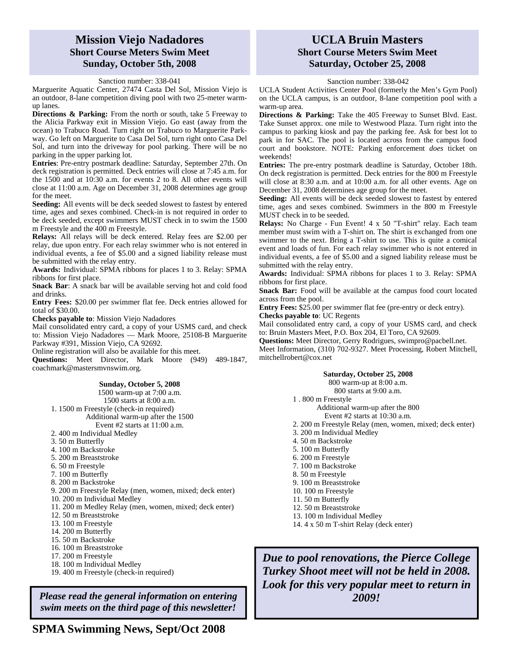# **Mission Viejo Nadadores Short Course Meters Swim Meet Sunday, October 5th, 2008**

### Sanction number: 338-041

Marguerite Aquatic Center, 27474 Casta Del Sol, Mission Viejo is an outdoor, 8-lane competition diving pool with two 25-meter warmup lanes.

**Directions & Parking:** From the north or south, take 5 Freeway to the Alicia Parkway exit in Mission Viejo. Go east (away from the ocean) to Trabuco Road. Turn right on Trabuco to Marguerite Parkway. Go left on Marguerite to Casa Del Sol, turn right onto Casa Del Sol, and turn into the driveway for pool parking. There will be no parking in the upper parking lot.

**Entries**: Pre-entry postmark deadline: Saturday, September 27th. On deck registration is permitted. Deck entries will close at 7:45 a.m. for the 1500 and at 10:30 a.m. for events 2 to 8. All other events will close at 11:00 a.m. Age on December 31, 2008 determines age group for the meet.

**Seeding:** All events will be deck seeded slowest to fastest by entered time, ages and sexes combined. Check-in is not required in order to be deck seeded, except swimmers MUST check in to swim the 1500 m Freestyle and the 400 m Freestyle.

**Relays:** All relays will be deck entered. Relay fees are \$2.00 per relay, due upon entry. For each relay swimmer who is not entered in individual events, a fee of \$5.00 and a signed liability release must be submitted with the relay entry.

**Awards:** Individual: SPMA ribbons for places 1 to 3. Relay: SPMA ribbons for first place.

**Snack Bar:** A snack bar will be available serving hot and cold food and drinks.

**Entry Fees:** \$20.00 per swimmer flat fee. Deck entries allowed for total of \$30.00.

**Checks payable to**: Mission Viejo Nadadores

Mail consolidated entry card, a copy of your USMS card, and check to: Mission Viejo Nadadores — Mark Moore, 25108-B Marguerite Parkway #391, Mission Viejo, CA 92692.

Online registration will also be available for this meet.

**Questions:** Meet Director, Mark Moore (949) 489-1847, coachmark@mastersmvnswim.org.

#### **Sunday, October 5, 2008**

1500 warm-up at 7:00 a.m. 1500 starts at 8:00 a.m.

1. 1500 m Freestyle (check-in required) Additional warm-up after the 1500 Event #2 starts at 11:00 a.m.

- 2. 400 m Individual Medley
- 3. 50 m Butterfly
- 4. 100 m Backstroke
- 5. 200 m Breaststroke
- 6. 50 m Freestyle
- 7. 100 m Butterfly
- 8. 200 m Backstroke
- 
- 9. 200 m Freestyle Relay (men, women, mixed; deck enter)
- 10. 200 m Individual Medley
- 11. 200 m Medley Relay (men, women, mixed; deck enter)
- 12. 50 m Breaststroke
- 13. 100 m Freestyle
- 14. 200 m Butterfly
- 15. 50 m Backstroke
- 16. 100 m Breaststroke
- 17. 200 m Freestyle
- 18. 100 m Individual Medley
- 19. 400 m Freestyle (check-in required)

*Please read the general information on entering swim meets on the third page of this newsletter!* 

# **UCLA Bruin Masters Short Course Meters Swim Meet Saturday, October 25, 2008**

Sanction number: 338-042

UCLA Student Activities Center Pool (formerly the Men's Gym Pool) on the UCLA campus, is an outdoor, 8-lane competition pool with a warm-up area.

**Directions & Parking:** Take the 405 Freeway to Sunset Blvd. East. Take Sunset approx. one mile to Westwood Plaza. Turn right into the campus to parking kiosk and pay the parking fee. Ask for best lot to park in for SAC. The pool is located across from the campus food court and bookstore. NOTE: Parking enforcement *does* ticket on weekends!

**Entries:** The pre-entry postmark deadline is Saturday, October 18th. On deck registration is permitted. Deck entries for the 800 m Freestyle will close at 8:30 a.m. and at 10:00 a.m. for all other events. Age on December 31, 2008 determines age group for the meet.

Seeding: All events will be deck seeded slowest to fastest by entered time, ages and sexes combined. Swimmers in the 800 m Freestyle MUST check in to be seeded.

**Relays:** No Charge - Fun Event! 4 x 50 "T-shirt" relay. Each team member must swim with a T-shirt on. The shirt is exchanged from one swimmer to the next. Bring a T-shirt to use. This is quite a comical event and loads of fun. For each relay swimmer who is not entered in individual events, a fee of \$5.00 and a signed liability release must be submitted with the relay entry.

**Awards:** Individual: SPMA ribbons for places 1 to 3. Relay: SPMA ribbons for first place.

**Snack Bar:** Food will be available at the campus food court located across from the pool.

**Entry Fees:** \$25.00 per swimmer flat fee (pre-entry or deck entry). **Checks payable to**: UC Regents

Mail consolidated entry card, a copy of your USMS card, and check to: Bruin Masters Meet, P.O. Box 204, El Toro, CA 92609.

**Questions:** Meet Director, Gerry Rodrigues, swimpro@pacbell.net. Meet Information, (310) 702-9327. Meet Processing, Robert Mitchell, mitchellrobert@cox.net

#### **Saturday, October 25, 2008**  800 warm-up at 8:00 a.m. 800 starts at 9:00 a.m. 1 . 800 m Freestyle Additional warm-up after the 800 Event #2 starts at 10:30 a.m. 2. 200 m Freestyle Relay (men, women, mixed; deck enter) 3. 200 m Individual Medley 4. 50 m Backstroke 5. 100 m Butterfly 6. 200 m Freestyle 7. 100 m Backstroke 8. 50 m Freestyle 9. 100 m Breaststroke 10. 100 m Freestyle 11. 50 m Butterfly 12. 50 m Breaststroke 13. 100 m Individual Medley 14. 4 x 50 m T-shirt Relay (deck enter)

*Due to pool renovations, the Pierce College Turkey Shoot meet will not be held in 2008. Look for this very popular meet to return in 2009!*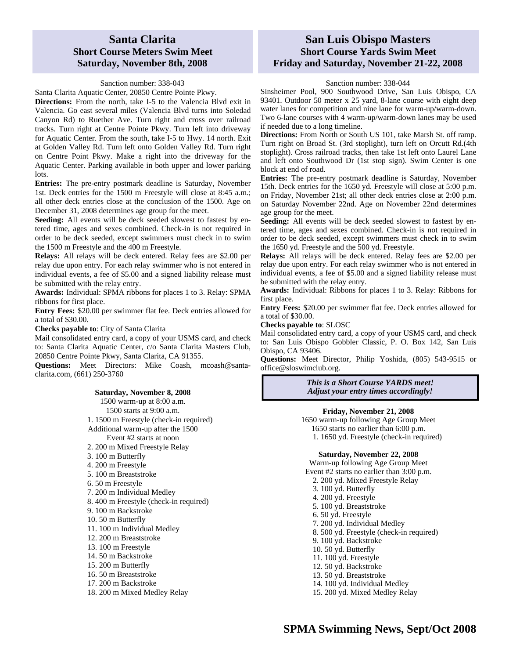# **Santa Clarita Short Course Meters Swim Meet Saturday, November 8th, 2008**

### Sanction number: 338-043

Santa Clarita Aquatic Center, 20850 Centre Pointe Pkwy.

**Directions:** From the north, take I-5 to the Valencia Blvd exit in Valencia. Go east several miles (Valencia Blvd turns into Soledad Canyon Rd) to Ruether Ave. Turn right and cross over railroad tracks. Turn right at Centre Pointe Pkwy. Turn left into driveway for Aquatic Center. From the south, take I-5 to Hwy. 14 north. Exit at Golden Valley Rd. Turn left onto Golden Valley Rd. Turn right on Centre Point Pkwy. Make a right into the driveway for the Aquatic Center. Parking available in both upper and lower parking lots.

**Entries:** The pre-entry postmark deadline is Saturday, November 1st. Deck entries for the 1500 m Freestyle will close at 8:45 a.m.; all other deck entries close at the conclusion of the 1500. Age on December 31, 2008 determines age group for the meet.

Seeding: All events will be deck seeded slowest to fastest by entered time, ages and sexes combined. Check-in is not required in order to be deck seeded, except swimmers must check in to swim the 1500 m Freestyle and the 400 m Freestyle.

**Relays:** All relays will be deck entered. Relay fees are \$2.00 per relay due upon entry. For each relay swimmer who is not entered in individual events, a fee of \$5.00 and a signed liability release must be submitted with the relay entry.

**Awards:** Individual: SPMA ribbons for places 1 to 3. Relay: SPMA ribbons for first place.

**Entry Fees:** \$20.00 per swimmer flat fee. Deck entries allowed for a total of \$30.00.

**Checks payable to**: City of Santa Clarita

Mail consolidated entry card, a copy of your USMS card, and check to: Santa Clarita Aquatic Center, c/o Santa Clarita Masters Club, 20850 Centre Pointe Pkwy, Santa Clarita, CA 91355.

Questions: Meet Directors: Mike Coash, mcoash@santaclarita.com, (661) 250-3760

#### **Saturday, November 8, 2008**

1500 warm-up at 8:00 a.m. 1500 starts at 9:00 a.m. 1. 1500 m Freestyle (check-in required) Additional warm-up after the 1500 Event #2 starts at noon 2. 200 m Mixed Freestyle Relay 3. 100 m Butterfly 4. 200 m Freestyle 5. 100 m Breaststroke 6. 50 m Freestyle 7. 200 m Individual Medley 8. 400 m Freestyle (check-in required) 9. 100 m Backstroke 10. 50 m Butterfly 11. 100 m Individual Medley 12. 200 m Breaststroke 13. 100 m Freestyle 14. 50 m Backstroke 15. 200 m Butterfly 16. 50 m Breaststroke 17. 200 m Backstroke 18. 200 m Mixed Medley Relay

# **San Luis Obispo Masters Short Course Yards Swim Meet Friday and Saturday, November 21-22, 2008**

#### Sanction number: 338-044

Sinsheimer Pool, 900 Southwood Drive, San Luis Obispo, CA 93401. Outdoor 50 meter x 25 yard, 8-lane course with eight deep water lanes for competition and nine lane for warm-up/warm-down. Two 6-lane courses with 4 warm-up/warm-down lanes may be used if needed due to a long timeline.

**Directions:** From North or South US 101, take Marsh St. off ramp. Turn right on Broad St. (3rd stoplight), turn left on Orcutt Rd.(4th stoplight). Cross railroad tracks, then take 1st left onto Laurel Lane and left onto Southwood Dr (1st stop sign). Swim Center is one block at end of road.

**Entries:** The pre-entry postmark deadline is Saturday, November 15th. Deck entries for the 1650 yd. Freestyle will close at 5:00 p.m. on Friday, November 21st; all other deck entries close at 2:00 p.m. on Saturday November 22nd. Age on November 22nd determines age group for the meet.

**Seeding:** All events will be deck seeded slowest to fastest by entered time, ages and sexes combined. Check-in is not required in order to be deck seeded, except swimmers must check in to swim the 1650 yd. Freestyle and the 500 yd. Freestyle.

**Relays:** All relays will be deck entered. Relay fees are \$2.00 per relay due upon entry. For each relay swimmer who is not entered in individual events, a fee of \$5.00 and a signed liability release must be submitted with the relay entry.

**Awards:** Individual: Ribbons for places 1 to 3. Relay: Ribbons for first place.

**Entry Fees:** \$20.00 per swimmer flat fee. Deck entries allowed for a total of \$30.00.

**Checks payable to**: SLOSC

Mail consolidated entry card, a copy of your USMS card, and check to: San Luis Obispo Gobbler Classic, P. O. Box 142, San Luis Obispo, CA 93406.

**Questions:** Meet Director, Philip Yoshida, (805) 543-9515 or office@sloswimclub.org.

> *This is a Short Course YARDS meet! Adjust your entry times accordingly!*

### **Friday, November 21, 2008**

1650 warm-up following Age Group Meet 1650 starts no earlier than 6:00 p.m. 1. 1650 yd. Freestyle (check-in required)

**Saturday, November 22, 2008** 

Warm-up following Age Group Meet Event #2 starts no earlier than 3:00 p.m. 2. 200 yd. Mixed Freestyle Relay 3. 100 yd. Butterfly 4. 200 yd. Freestyle 5. 100 yd. Breaststroke 6. 50 yd. Freestyle 7. 200 yd. Individual Medley 8. 500 yd. Freestyle (check-in required) 9. 100 yd. Backstroke 10. 50 yd. Butterfly 11. 100 yd. Freestyle 12. 50 yd. Backstroke 13. 50 yd. Breaststroke 14. 100 yd. Individual Medley 15. 200 yd. Mixed Medley Relay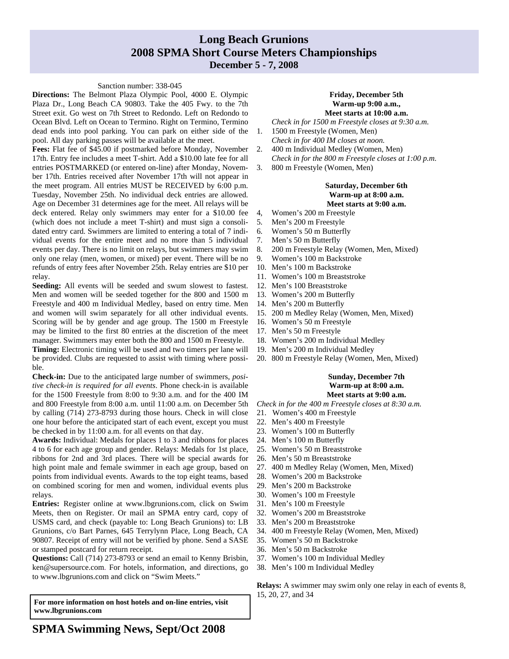# **Long Beach Grunions 2008 SPMA Short Course Meters Championships December 5 - 7, 2008**

# Sanction number: 338-045

**Directions:** The Belmont Plaza Olympic Pool, 4000 E. Olympic Plaza Dr., Long Beach CA 90803. Take the 405 Fwy. to the 7th Street exit. Go west on 7th Street to Redondo. Left on Redondo to Ocean Blvd. Left on Ocean to Termino. Right on Termino, Termino dead ends into pool parking. You can park on either side of the pool. All day parking passes will be available at the meet.

**Fees:** Flat fee of \$45.00 if postmarked before Monday, November 17th. Entry fee includes a meet T-shirt. Add a \$10.00 late fee for all entries POSTMARKED (or entered on-line) after Monday, November 17th. Entries received after November 17th will not appear in the meet program. All entries MUST be RECEIVED by 6:00 p.m. Tuesday, November 25th. No individual deck entries are allowed. Age on December 31 determines age for the meet. All relays will be deck entered. Relay only swimmers may enter for a \$10.00 fee (which does not include a meet T-shirt) and must sign a consolidated entry card. Swimmers are limited to entering a total of 7 individual events for the entire meet and no more than 5 individual events per day. There is no limit on relays, but swimmers may swim only one relay (men, women, or mixed) per event. There will be no refunds of entry fees after November 25th. Relay entries are \$10 per relay.

**Seeding:** All events will be seeded and swum slowest to fastest. Men and women will be seeded together for the 800 and 1500 m Freestyle and 400 m Individual Medley, based on entry time. Men and women will swim separately for all other individual events. Scoring will be by gender and age group. The 1500 m Freestyle may be limited to the first 80 entries at the discretion of the meet manager. Swimmers may enter both the 800 and 1500 m Freestyle.

**Timing:** Electronic timing will be used and two timers per lane will be provided. Clubs are requested to assist with timing where possible.

**Check-in:** Due to the anticipated large number of swimmers, *positive check-in is required for all events*. Phone check-in is available for the 1500 Freestyle from 8:00 to 9:30 a.m. and for the 400 IM and 800 Freestyle from 8:00 a.m. until 11:00 a.m. on December 5th by calling (714) 273-8793 during those hours. Check in will close one hour before the anticipated start of each event, except you must be checked in by 11:00 a.m. for all events on that day.

**Awards:** Individual: Medals for places 1 to 3 and ribbons for places 4 to 6 for each age group and gender. Relays: Medals for 1st place, ribbons for 2nd and 3rd places. There will be special awards for high point male and female swimmer in each age group, based on points from individual events. Awards to the top eight teams, based on combined scoring for men and women, individual events plus relays.

**Entries:** Register online at www.lbgrunions.com, click on Swim Meets, then on Register. Or mail an SPMA entry card, copy of USMS card, and check (payable to: Long Beach Grunions) to: LB Grunions, c/o Bart Parnes, 645 Terrylynn Place, Long Beach, CA 90807. Receipt of entry will not be verified by phone. Send a SASE or stamped postcard for return receipt.

**Questions:** Call (714) 273-8793 or send an email to Kenny Brisbin, ken@supersource.com. For hotels, information, and directions, go to www.lbgrunions.com and click on "Swim Meets."

**For more information on host hotels and on-line entries, visit www.lbgrunions.com** 

#### **Friday, December 5th Warm-up 9:00 a.m., Meet starts at 10:00 a.m.**

- *Check in for 1500 m Freestyle closes at 9:30 a.m*.
- 1. 1500 m Freestyle (Women, Men) *Check in for 400 IM closes at noon.*
- 2. 400 m Individual Medley (Women, Men)
- *Check in for the 800 m Freestyle closes at 1:00 p.m*.
- 3. 800 m Freestyle (Women, Men)

#### **Saturday, December 6th Warm-up at 8:00 a.m. Meet starts at 9:00 a.m.**

- 4, Women's 200 m Freestyle
- 5. Men's 200 m Freestyle
- 6. Women's 50 m Butterfly
- 7. Men's 50 m Butterfly
- 8. 200 m Freestyle Relay (Women, Men, Mixed)
- 9. Women's 100 m Backstroke
- 10. Men's 100 m Backstroke
- 11. Women's 100 m Breaststroke
- 12. Men's 100 Breaststroke
- 13. Women's 200 m Butterfly
- 14. Men's 200 m Butterfly
- 15. 200 m Medley Relay (Women, Men, Mixed)
- 16. Women's 50 m Freestyle
- 17. Men's 50 m Freestyle
- 18. Women's 200 m Individual Medley
- 19. Men's 200 m Individual Medley
- 20. 800 m Freestyle Relay (Women, Men, Mixed)

#### **Sunday, December 7th Warm-up at 8:00 a.m. Meet starts at 9:00 a.m.**

*Check in for the 400 m Freestyle closes at 8:30 a.m.* 

- 21. Women's 400 m Freestyle
- 22. Men's 400 m Freestyle
- 23. Women's 100 m Butterfly
- 24. Men's 100 m Butterfly
- 25. Women's 50 m Breaststroke
- 26. Men's 50 m Breaststroke
- 27. 400 m Medley Relay (Women, Men, Mixed)
- 28. Women's 200 m Backstroke
- 29. Men's 200 m Backstroke
- 30. Women's 100 m Freestyle
- 31. Men's 100 m Freestyle
- 32. Women's 200 m Breaststroke
- 33. Men's 200 m Breaststroke
- 34. 400 m Freestyle Relay (Women, Men, Mixed)
- 35. Women's 50 m Backstroke
- 36. Men's 50 m Backstroke
- 37. Women's 100 m Individual Medley
- 38. Men's 100 m Individual Medley

**Relays:** A swimmer may swim only one relay in each of events 8, 15, 20, 27, and 34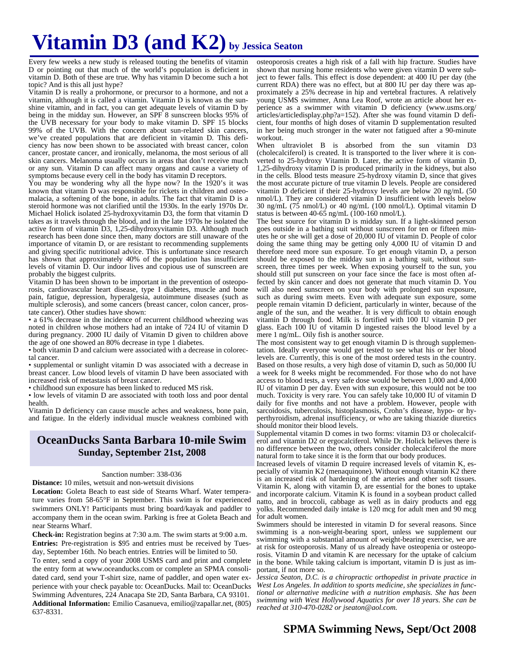# **Vitamin D3 (and K2) by Jessica Seaton**

Every few weeks a new study is released touting the benefits of vitamin D or pointing out that much of the world's population is deficient in vitamin D. Both of these are true. Why has vitamin D become such a hot topic? And is this all just hype?

Vitamin D is really a prohormone, or precursor to a hormone, and not a vitamin, although it is called a vitamin. Vitamin D is known as the sunshine vitamin, and in fact, you can get adequate levels of vitamin D by being in the midday sun. However, an SPF 8 sunscreen blocks 95% of the UVB necessary for your body to make vitamin D. SPF 15 blocks 99% of the UVB. With the concern about sun-related skin cancers, we've created populations that are deficient in vitamin D. This deficiency has now been shown to be associated with breast cancer, colon cancer, prostate cancer, and ironically, melanoma, the most serious of all skin cancers. Melanoma usually occurs in areas that don't receive much or any sun. Vitamin D can affect many organs and cause a variety of symptoms because every cell in the body has vitamin D receptors.

You may be wondering why all the hype now? In the 1920's it was known that vitamin D was responsible for rickets in children and osteomalacia, a softening of the bone, in adults. The fact that vitamin D is a steroid hormone was not clarified until the 1930s. In the early 1970s Dr. Michael Holick isolated 25-hydroxyvitamin D3, the form that vitamin D takes as it travels through the blood, and in the late 1970s he isolated the active form of vitamin D3, 1,25-dihydroxyvitamin D3. Although much research has been done since then, many doctors are still unaware of the importance of vitamin D, or are resistant to recommending supplements and giving specific nutritional advice. This is unfortunate since research has shown that approximately 40% of the population has insufficient levels of vitamin D. Our indoor lives and copious use of sunscreen are probably the biggest culprits.

Vitamin D has been shown to be important in the prevention of osteoporosis, cardiovascular heart disease, type I diabetes, muscle and bone pain, fatigue, depression, hyperalgesia, autoimmune diseases (such as multiple sclerosis), and some cancers (breast cancer, colon cancer, prostate cancer). Other studies have shown:

• a 61% decrease in the incidence of recurrent childhood wheezing was noted in children whose mothers had an intake of 724 IU of vitamin D during pregnancy. 2000 IU daily of Vitamin D given to children above the age of one showed an 80% decrease in type 1 diabetes.

• both vitamin D and calcium were associated with a decrease in colorectal cancer.

• supplemental or sunlight vitamin D was associated with a decrease in breast cancer. Low blood levels of vitamin D have been associated with increased risk of metastasis of breast cancer.

• childhood sun exposure has been linked to reduced MS risk.

• low levels of vitamin D are associated with tooth loss and poor dental health.

Vitamin D deficiency can cause muscle aches and weakness, bone pain, and fatigue. In the elderly individual muscle weakness combined with

# **OceanDucks Santa Barbara 10-mile Swim Sunday, September 21st, 2008**

#### Sanction number: 338-036

**Distance:** 10 miles, wetsuit and non-wetsuit divisions

**Location:** Goleta Beach to east side of Stearns Wharf. Water temperature varies from 58-65°F in September. This swim is for experienced swimmers ONLY! Participants must bring board/kayak and paddler to accompany them in the ocean swim. Parking is free at Goleta Beach and near Stearns Wharf.

**Check-in:** Registration begins at 7:30 a.m. The swim starts at 9:00 a.m. **Entries:** Pre-registration is \$95 and entries must be received by Tuesday, September 16th. No beach entries. Entries will be limited to 50.

To enter, send a copy of your 2008 USMS card and print and complete the entry form at www.oceanducks.com or complete an SPMA consolidated card, send your T-shirt size, name of paddler, and open water experience with your check payable to: OceanDucks. Mail to: OceanDucks Swimming Adventures, 224 Anacapa Ste 2D, Santa Barbara, CA 93101. **Additional Information:** Emilio Casanueva, emilio@zapallar.net, (805) 637-8331.

osteoporosis creates a high risk of a fall with hip fracture. Studies have shown that nursing home residents who were given vitamin D were subject to fewer falls. This effect is dose dependent: at 400 IU per day (the current RDA) there was no effect, but at 800 IU per day there was approximately a 25% decrease in hip and vertebral fractures. A relatively young USMS swimmer, Anna Lea Roof, wrote an article about her experience as a swimmer with vitamin D deficiency (www.usms.org/ articles/articledisplay.php?a=152). After she was found vitamin D deficient, four months of high doses of vitamin D supplementation resulted in her being much stronger in the water not fatigued after a 90-minute workout.

When ultraviolet B is absorbed from the sun vitamin D3 (cholecalciferol) is created. It is transported to the liver where it is converted to 25-hydroxy Vitamin D. Later, the active form of vitamin D, 1,25-dihydroxy vitamin D is produced primarily in the kidneys, but also in the cells. Blood tests measure 25-hydroxy vitamin D, since that gives the most accurate picture of true vitamin D levels. People are considered vitamin D deficient if their 25-hydroxy levels are below 20 ng/mL (50 nmol/L). They are considered vitamin D insufficient with levels below 30 ng/mL (75 nmol/L) or 40 ng/mL (100 nmol/L). Optimal vitamin D status is between 40-65 ng/mL ( $100-160$  nmol/L).

The best source for vitamin D is midday sun. If a light-skinned person goes outside in a bathing suit without sunscreen for ten or fifteen minutes he or she will get a dose of 20,000 IU of vitamin D. People of color doing the same thing may be getting only 4,000 IU of vitamin D and therefore need more sun exposure. To get enough vitamin D, a person should be exposed to the midday sun in a bathing suit, without sunscreen, three times per week. When exposing yourself to the sun, you should still put sunscreen on your face since the face is most often affected by skin cancer and does not generate that much vitamin D. You will also need sunscreen on your body with prolonged sun exposure, such as during swim meets. Even with adequate sun exposure, some people remain vitamin D deficient, particularly in winter, because of the angle of the sun, and the weather. It is very difficult to obtain enough vitamin D through food. Milk is fortified with 100 IU vitamin D per glass. Each 100 IU of vitamin D ingested raises the blood level by a mere 1 ng/mL. Oily fish is another source.

The most consistent way to get enough vitamin D is through supplementation. Ideally everyone would get tested to see what his or her blood levels are. Currently, this is one of the most ordered tests in the country. Based on those results, a very high dose of vitamin D, such as 50,000 IU a week for 8 weeks might be recommended. For those who do not have access to blood tests, a very safe dose would be between 1,000 and 4,000 IU of vitamin D per day. Even with sun exposure, this would not be too much. Toxicity is very rare. You can safely take 10,000 IU of vitamin D daily for five months and not have a problem. However, people with sarcoidosis, tuberculosis, histoplasmosis, Crohn's disease, hypo- or hyperthyroidism, adrenal insufficiency, or who are taking thiazide diuretics should monitor their blood levels.

Supplemental vitamin D comes in two forms: vitamin D3 or cholecalciferol and vitamin D2 or ergocalciferol. While Dr. Holick believes there is no difference between the two, others consider cholecalciferol the more natural form to take since it is the form that our body produces.

Increased levels of vitamin D require increased levels of vitamin K, especially of vitamin K2 (menaquinone). Without enough vitamin K2 there is an increased risk of hardening of the arteries and other soft tissues. Vitamin K, along with vitamin D, are essential for the bones to uptake and incorporate calcium. Vitamin K is found in a soybean product called natto, and in broccoli, cabbage as well as in dairy products and egg yolks. Recommended daily intake is 120 mcg for adult men and 90 mcg for adult women.

Swimmers should be interested in vitamin D for several reasons. Since swimming is a non-weight-bearing sport, unless we supplement our swimming with a substantial amount of weight-bearing exercise, we are at risk for osteoporosis. Many of us already have osteopenia or osteoporosis. Vitamin D and vitamin K are necessary for the uptake of calcium in the bone. While taking calcium is important, vitamin D is just as important, if not more so.

J*essica Seaton, D.C. is a chiropractic orthopedist in private practice in West Los Angeles. In addition to sports medicine, she specializes in functional or alternative medicine with a nutrition emphasis. She has been swimming with West Hollywood Aquatics for over 18 years. She can be reached at 310-470-0282 or jseaton@aol.com.*